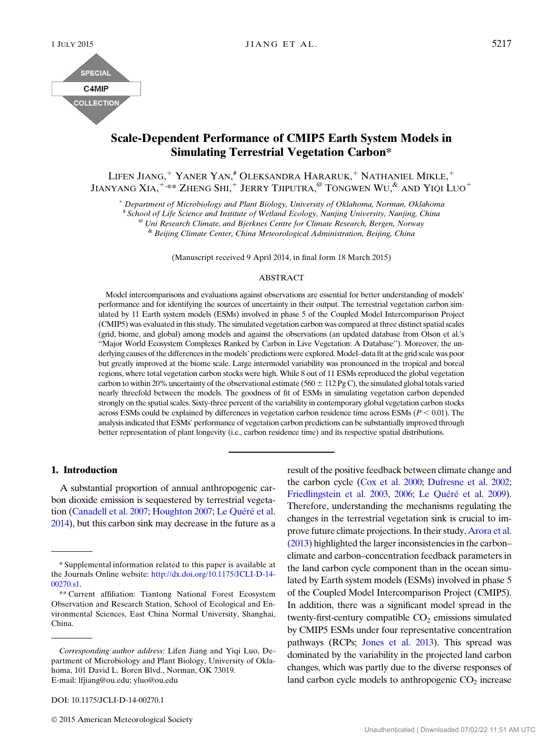

# Scale-Dependent Performance of CMIP5 Earth System Models in Simulating Terrestrial Vegetation Carbon\*

LIFEN JIANG, <sup>+</sup> YANER YAN,<sup>#</sup> OLEKSANDRA HARARUK, <sup>+</sup> NATHANIEL MIKLE, <sup>+</sup> JIANYANG XIA, $^{+,\ast\ast}$  Zheng Shi, $^{+}$  Jerry Tjiputra, $^\circ$  Tongwen Wu, $^\texttt{c}$  and Yiqi Luo $^{+}$ 

<sup>1</sup> Department of Microbiology and Plant Biology, University of Oklahoma, Norman, Oklahoma

# School of Life Science and Institute of Wetland Ecology, Nanjing University, Nanjing, China

@ Uni Research Climate, and Bjerknes Centre for Climate Research, Bergen, Norway

& Beijing Climate Center, China Meteorological Administration, Beijing, China

(Manuscript received 9 April 2014, in final form 18 March 2015)

#### ABSTRACT

Model intercomparisons and evaluations against observations are essential for better understanding of models' performance and for identifying the sources of uncertainty in their output. The terrestrial vegetation carbon simulated by 11 Earth system models (ESMs) involved in phase 5 of the Coupled Model Intercomparison Project (CMIP5) was evaluated in this study. The simulated vegetation carbon was compared at three distinct spatial scales (grid, biome, and global) among models and against the observations (an updated database from Olson et al.'s ''Major World Ecosystem Complexes Ranked by Carbon in Live Vegetation: A Database''). Moreover, the underlying causes of the differences in the models' predictions were explored. Model–data fit at the grid scale was poor but greatly improved at the biome scale. Large intermodel variability was pronounced in the tropical and boreal regions, where total vegetation carbon stocks were high. While 8 out of 11 ESMs reproduced the global vegetation carbon to within 20% uncertainty of the observational estimate (560  $\pm$  112 Pg C), the simulated global totals varied nearly threefold between the models. The goodness of fit of ESMs in simulating vegetation carbon depended strongly on the spatial scales. Sixty-three percent of the variability in contemporary global vegetation carbon stocks across ESMs could be explained by differences in vegetation carbon residence time across ESMs ( $P < 0.01$ ). The analysis indicated that ESMs' performance of vegetation carbon predictions can be substantially improved through better representation of plant longevity (i.e., carbon residence time) and its respective spatial distributions.

## 1. Introduction

A substantial proportion of annual anthropogenic carbon dioxide emission is sequestered by terrestrial vegetation [\(Canadell et al. 2007;](#page-13-0) [Houghton 2007;](#page-13-1) [Le Qu](#page-14-0)éré et al. [2014\)](#page-14-0), but this carbon sink may decrease in the future as a

DOI: 10.1175/JCLI-D-14-00270.1

result of the positive feedback between climate change and the carbon cycle [\(Cox et al. 2000](#page-13-2); [Dufresne et al. 2002;](#page-13-3) [Friedlingstein et al. 2003,](#page-13-4) [2006](#page-13-5); Le Quéré [et al. 2009](#page-14-1)). Therefore, understanding the mechanisms regulating the changes in the terrestrial vegetation sink is crucial to improve future climate projections. In their study, [Arora et al.](#page-13-6) [\(2013\)](#page-13-6) highlighted the larger inconsistencies in the carbon– climate and carbon–concentration feedback parameters in the land carbon cycle component than in the ocean simulated by Earth system models (ESMs) involved in phase 5 of the Coupled Model Intercomparison Project (CMIP5). In addition, there was a significant model spread in the twenty-first-century compatible  $CO<sub>2</sub>$  emissions simulated by CMIP5 ESMs under four representative concentration pathways (RCPs; [Jones et al. 2013\)](#page-14-2). This spread was dominated by the variability in the projected land carbon changes, which was partly due to the diverse responses of land carbon cycle models to anthropogenic  $CO<sub>2</sub>$  increase

<sup>\*</sup> Supplemental information related to this paper is available at the Journals Online website: [http://dx.doi.org/10.1175/JCLI-D-14-](http://dx.doi.org/10.1175/JCLI-D-14-00270.s1) [00270.s1.](http://dx.doi.org/10.1175/JCLI-D-14-00270.s1)

<sup>\*\*</sup> Current affiliation: Tiantong National Forest Ecosystem Observation and Research Station, School of Ecological and Environmental Sciences, East China Normal University, Shanghai, China.

Corresponding author address: Lifen Jiang and Yiqi Luo, Department of Microbiology and Plant Biology, University of Oklahoma, 101 David L. Boren Blvd., Norman, OK 73019. E-mail: [lfjiang@ou.edu](mailto:lfjiang@ou.edu); [yluo@ou.edu](mailto:yluo@ou.edu)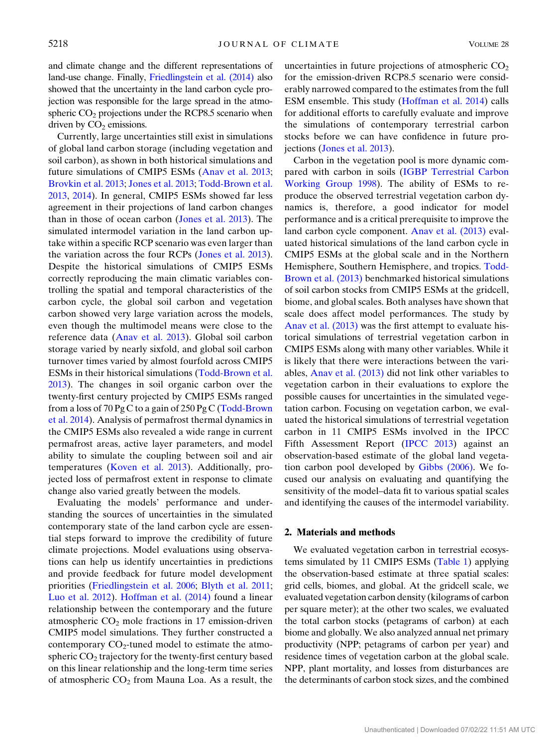and climate change and the different representations of land-use change. Finally, [Friedlingstein et al. \(2014\)](#page-13-7) also showed that the uncertainty in the land carbon cycle projection was responsible for the large spread in the atmospheric  $CO<sub>2</sub>$  projections under the RCP8.5 scenario when driven by  $CO<sub>2</sub>$  emissions.

Currently, large uncertainties still exist in simulations of global land carbon storage (including vegetation and soil carbon), as shown in both historical simulations and future simulations of CMIP5 ESMs [\(Anav et al. 2013;](#page-13-8) [Brovkin et al. 2013;](#page-13-9) [Jones et al. 2013;](#page-14-2) [Todd-Brown et al.](#page-14-3) [2013,](#page-14-3) [2014\)](#page-15-0). In general, CMIP5 ESMs showed far less agreement in their projections of land carbon changes than in those of ocean carbon [\(Jones et al. 2013\)](#page-14-2). The simulated intermodel variation in the land carbon uptake within a specific RCP scenario was even larger than the variation across the four RCPs ([Jones et al. 2013](#page-14-2)). Despite the historical simulations of CMIP5 ESMs correctly reproducing the main climatic variables controlling the spatial and temporal characteristics of the carbon cycle, the global soil carbon and vegetation carbon showed very large variation across the models, even though the multimodel means were close to the reference data ([Anav et al. 2013\)](#page-13-8). Global soil carbon storage varied by nearly sixfold, and global soil carbon turnover times varied by almost fourfold across CMIP5 ESMs in their historical simulations ([Todd-Brown et al.](#page-14-3) [2013\)](#page-14-3). The changes in soil organic carbon over the twenty-first century projected by CMIP5 ESMs ranged from a loss of  $70 \text{Pg C}$  to a gain of  $250 \text{Pg C}$  [\(Todd-Brown](#page-15-0) [et al. 2014\)](#page-15-0). Analysis of permafrost thermal dynamics in the CMIP5 ESMs also revealed a wide range in current permafrost areas, active layer parameters, and model ability to simulate the coupling between soil and air temperatures ([Koven et al. 2013](#page-14-4)). Additionally, projected loss of permafrost extent in response to climate change also varied greatly between the models.

Evaluating the models' performance and understanding the sources of uncertainties in the simulated contemporary state of the land carbon cycle are essential steps forward to improve the credibility of future climate projections. Model evaluations using observations can help us identify uncertainties in predictions and provide feedback for future model development priorities [\(Friedlingstein et al. 2006;](#page-13-5) [Blyth et al. 2011;](#page-13-10) [Luo et al. 2012\)](#page-14-5). [Hoffman et al. \(2014\)](#page-13-11) found a linear relationship between the contemporary and the future atmospheric  $CO<sub>2</sub>$  mole fractions in 17 emission-driven CMIP5 model simulations. They further constructed a contemporary  $CO<sub>2</sub>$ -tuned model to estimate the atmospheric  $CO<sub>2</sub>$  trajectory for the twenty-first century based on this linear relationship and the long-term time series of atmospheric  $CO<sub>2</sub>$  from Mauna Loa. As a result, the uncertainties in future projections of atmospheric  $CO<sub>2</sub>$ for the emission-driven RCP8.5 scenario were considerably narrowed compared to the estimates from the full ESM ensemble. This study ([Hoffman et al. 2014](#page-13-11)) calls for additional efforts to carefully evaluate and improve the simulations of contemporary terrestrial carbon stocks before we can have confidence in future projections ([Jones et al. 2013](#page-14-2)).

Carbon in the vegetation pool is more dynamic compared with carbon in soils [\(IGBP Terrestrial Carbon](#page-14-6) [Working Group 1998](#page-14-6)). The ability of ESMs to reproduce the observed terrestrial vegetation carbon dynamics is, therefore, a good indicator for model performance and is a critical prerequisite to improve the land carbon cycle component. [Anav et al. \(2013\)](#page-13-8) evaluated historical simulations of the land carbon cycle in CMIP5 ESMs at the global scale and in the Northern Hemisphere, Southern Hemisphere, and tropics. [Todd-](#page-14-3)[Brown et al. \(2013\)](#page-14-3) benchmarked historical simulations of soil carbon stocks from CMIP5 ESMs at the gridcell, biome, and global scales. Both analyses have shown that scale does affect model performances. The study by [Anav et al. \(2013\)](#page-13-8) was the first attempt to evaluate historical simulations of terrestrial vegetation carbon in CMIP5 ESMs along with many other variables. While it is likely that there were interactions between the variables, [Anav et al. \(2013\)](#page-13-8) did not link other variables to vegetation carbon in their evaluations to explore the possible causes for uncertainties in the simulated vegetation carbon. Focusing on vegetation carbon, we evaluated the historical simulations of terrestrial vegetation carbon in 11 CMIP5 ESMs involved in the IPCC Fifth Assessment Report [\(IPCC 2013\)](#page-14-7) against an observation-based estimate of the global land vegetation carbon pool developed by [Gibbs \(2006\).](#page-13-12) We focused our analysis on evaluating and quantifying the sensitivity of the model–data fit to various spatial scales and identifying the causes of the intermodel variability.

#### 2. Materials and methods

We evaluated vegetation carbon in terrestrial ecosystems simulated by 11 CMIP5 ESMs ([Table 1\)](#page-3-0) applying the observation-based estimate at three spatial scales: grid cells, biomes, and global. At the gridcell scale, we evaluated vegetation carbon density (kilograms of carbon per square meter); at the other two scales, we evaluated the total carbon stocks (petagrams of carbon) at each biome and globally. We also analyzed annual net primary productivity (NPP; petagrams of carbon per year) and residence times of vegetation carbon at the global scale. NPP, plant mortality, and losses from disturbances are the determinants of carbon stock sizes, and the combined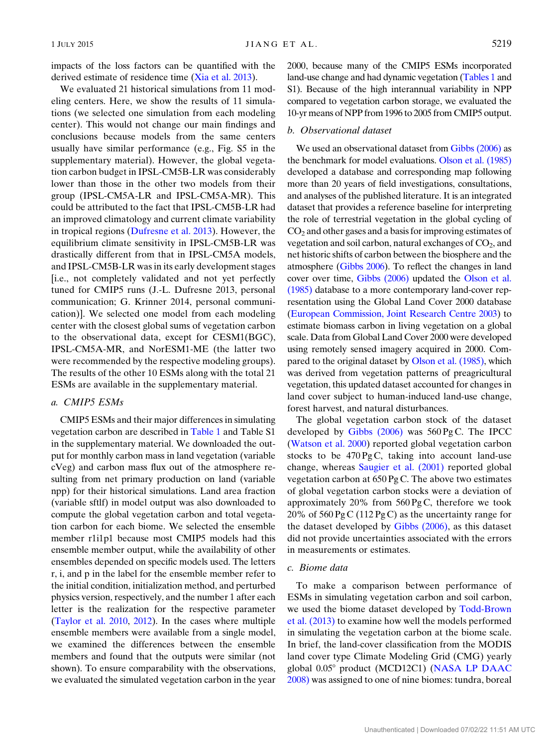impacts of the loss factors can be quantified with the derived estimate of residence time ([Xia et al. 2013\)](#page-15-1).

We evaluated 21 historical simulations from 11 modeling centers. Here, we show the results of 11 simulations (we selected one simulation from each modeling center). This would not change our main findings and conclusions because models from the same centers usually have similar performance (e.g., Fig. S5 in the supplementary material). However, the global vegetation carbon budget in IPSL-CM5B-LR was considerably lower than those in the other two models from their group (IPSL-CM5A-LR and IPSL-CM5A-MR). This could be attributed to the fact that IPSL-CM5B-LR had an improved climatology and current climate variability in tropical regions [\(Dufresne et al. 2013\)](#page-13-13). However, the equilibrium climate sensitivity in IPSL-CM5B-LR was drastically different from that in IPSL-CM5A models, and IPSL-CM5B-LR was in its early development stages [i.e., not completely validated and not yet perfectly tuned for CMIP5 runs (J.-L. Dufresne 2013, personal communication; G. Krinner 2014, personal communication)]. We selected one model from each modeling center with the closest global sums of vegetation carbon to the observational data, except for CESM1(BGC), IPSL-CM5A-MR, and NorESM1-ME (the latter two were recommended by the respective modeling groups). The results of the other 10 ESMs along with the total 21 ESMs are available in the supplementary material.

## a. CMIP5 ESMs

CMIP5 ESMs and their major differences in simulating vegetation carbon are described in [Table 1](#page-3-0) and Table S1 in the supplementary material. We downloaded the output for monthly carbon mass in land vegetation (variable cVeg) and carbon mass flux out of the atmosphere resulting from net primary production on land (variable npp) for their historical simulations. Land area fraction (variable sftlf) in model output was also downloaded to compute the global vegetation carbon and total vegetation carbon for each biome. We selected the ensemble member r1i1p1 because most CMIP5 models had this ensemble member output, while the availability of other ensembles depended on specific models used. The letters r, i, and p in the label for the ensemble member refer to the initial condition, initialization method, and perturbed physics version, respectively, and the number 1 after each letter is the realization for the respective parameter [\(Taylor et al. 2010](#page-14-8), [2012\)](#page-14-9). In the cases where multiple ensemble members were available from a single model, we examined the differences between the ensemble members and found that the outputs were similar (not shown). To ensure comparability with the observations, we evaluated the simulated vegetation carbon in the year 2000, because many of the CMIP5 ESMs incorporated land-use change and had dynamic vegetation [\(Tables 1](#page-3-0) and S1). Because of the high interannual variability in NPP compared to vegetation carbon storage, we evaluated the 10-yr means of NPP from 1996 to 2005 from CMIP5 output.

## b. Observational dataset

We used an observational dataset from [Gibbs \(2006\)](#page-13-12) as the benchmark for model evaluations. [Olson et al. \(1985\)](#page-14-10) developed a database and corresponding map following more than 20 years of field investigations, consultations, and analyses of the published literature. It is an integrated dataset that provides a reference baseline for interpreting the role of terrestrial vegetation in the global cycling of  $CO<sub>2</sub>$  and other gases and a basis for improving estimates of vegetation and soil carbon, natural exchanges of  $CO<sub>2</sub>$ , and net historic shifts of carbon between the biosphere and the atmosphere [\(Gibbs 2006](#page-13-12)). To reflect the changes in land cover over time, [Gibbs \(2006\)](#page-13-12) updated the [Olson et al.](#page-14-10) [\(1985\)](#page-14-10) database to a more contemporary land-cover representation using the Global Land Cover 2000 database [\(European Commission, Joint Research Centre 2003](#page-13-14)) to estimate biomass carbon in living vegetation on a global scale. Data from Global Land Cover 2000 were developed using remotely sensed imagery acquired in 2000. Com-pared to the original dataset by [Olson et al. \(1985\),](#page-14-10) which was derived from vegetation patterns of preagricultural vegetation, this updated dataset accounted for changes in land cover subject to human-induced land-use change, forest harvest, and natural disturbances.

The global vegetation carbon stock of the dataset developed by [Gibbs \(2006\)](#page-13-12) was 560 Pg C. The IPCC ([Watson et al. 2000\)](#page-15-2) reported global vegetation carbon stocks to be  $470 \,\text{PgC}$ , taking into account land-use change, whereas [Saugier et al. \(2001\)](#page-14-11) reported global vegetation carbon at 650 Pg C. The above two estimates of global vegetation carbon stocks were a deviation of approximately 20% from 560 Pg C, therefore we took 20% of 560 Pg C (112 Pg C) as the uncertainty range for the dataset developed by  $Gibbs$  (2006), as this dataset did not provide uncertainties associated with the errors in measurements or estimates.

#### c. Biome data

To make a comparison between performance of ESMs in simulating vegetation carbon and soil carbon, we used the biome dataset developed by [Todd-Brown](#page-14-3) [et al. \(2013\)](#page-14-3) to examine how well the models performed in simulating the vegetation carbon at the biome scale. In brief, the land-cover classification from the MODIS land cover type Climate Modeling Grid (CMG) yearly global 0.05° product (MCD12C1) [\(NASA LP DAAC](#page-14-12) [2008\)](#page-14-12) was assigned to one of nine biomes: tundra, boreal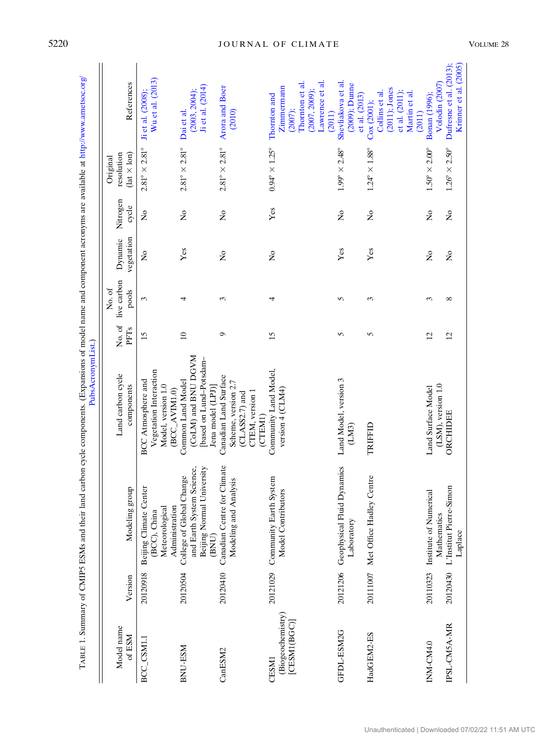<span id="page-3-0"></span>

|                                                  |          |                                                                                                   | PubsAcronymList.)                                                                              |                      |                                |                                            |                                                 |                                                                          |                                                                                                        |
|--------------------------------------------------|----------|---------------------------------------------------------------------------------------------------|------------------------------------------------------------------------------------------------|----------------------|--------------------------------|--------------------------------------------|-------------------------------------------------|--------------------------------------------------------------------------|--------------------------------------------------------------------------------------------------------|
| Model name<br>of ESM                             | Version  | Modeling group                                                                                    | Land carbon cycle<br>components                                                                | No. of<br>PFTs       | live carbon<br>No. of<br>pools | vegetation<br>Dynamic                      | Nitrogen<br>cycle                               | resolution<br>$(\text{lat} \times \text{lon})$<br>Original               | References                                                                                             |
| BCC_CSM1.1                                       | 20120918 | Beijing Climate Center<br>Administration<br>Meteorological<br>(BCC), China                        | Vegetation Interaction<br><b>BCC</b> Atmosphere and<br>Model, version 1.0<br>$(BCC_AVIM1.0)$   | 15                   | $\epsilon$                     | $\mathsf{S}^{\mathsf{o}}$                  | $\mathsf{S}^{\mathsf{O}}$                       | $2.81^{\circ} \times 2.81^{\circ}$                                       | Wu et al. $(2013)$<br>Ji et al. (2008);                                                                |
| BNU-ESM                                          | 20120504 | and Earth System Science,<br>University<br>Change<br>College of Global<br>Beijing Normal<br>(BNU) | (CoLM) and BNU DGVM<br>based on Lund-Potsdam-<br>Common Land Model<br>Jena model (LPJ)         | $\overline{10}$      | 4                              | Yes                                        | $\frac{1}{2}$                                   | $2.81^{\circ} \times 2.81^{\circ}$                                       | Ji et al. (2014)<br>(2003, 2004);<br>Dai et al.                                                        |
| CanESM2                                          | 20120410 | Canadian Centre for Climate<br>Modeling and Analysis                                              | Canadian Land Surface<br>Scheme, version 2.7<br>CTEM, version 1<br>$(CLASS2.7)$ and<br>(CTEMI) | ç                    | 3                              | $\mathsf{S}^{\mathsf{o}}$                  | $\overline{\mathsf{x}}$                         | $2.81^{\circ} \times 2.81^{\circ}$                                       | Arora and Boer<br>(2010)                                                                               |
| (Biogeochemistry)<br>[CESM1(BGC)<br><b>CESM1</b> | 20121029 | System<br>Model Contributors<br>Community Earth                                                   | Community Land Model,<br>version 4 (CLM4)                                                      | 15                   | 4                              | $\mathsf{S}^{\mathsf{o}}$                  | Yes                                             | $0.94^{\circ}\times1.25^{\circ}$                                         | Lawrence et al.<br>Thornton et al.<br>Zimmermann<br>(2007, 2009);<br>Thornton and<br>(2007);<br>(2011) |
| GFDL-ESM2G                                       |          | Dynamics<br>20121206 Geophysical Fluid<br>Laboratory                                              | Land Model, version 3<br>(LM3)                                                                 | 5                    | 5                              | Yes                                        | $\frac{1}{2}$                                   | $1.99^{\circ} \times 2.48^{\circ}$                                       | Shevliakova et al.<br>$(2009)$ ; Dunne<br>et al. (2013)                                                |
| HadGEM2-ES                                       |          | Centre<br>20111007 Met Office Hadley                                                              | TRIFFID                                                                                        | 5                    | 3                              | Yes                                        | $\frac{1}{2}$                                   | $1.24^{\circ} \times 1.88^{\circ}$                                       | $(2011)$ ; Jones<br>et al. (2011);<br>Collins et al.<br>Martin et al.<br>Cox (2001);<br>(2011)         |
| IPSL-CM5A-MR<br>INM-CM4.0                        |          | 20120430 L'Institut Pierre-Simon<br>20110323 Institute of Numerical<br>Mathematics                | (LSM), version 1.0<br>Land Surface Model<br>ORCHIDEE                                           | 12<br>$\overline{c}$ | 3<br>${}^{\circ}$              | $\frac{1}{2}$<br>$\mathsf{S}^{\mathsf{o}}$ | $\overline{\mathsf{x}}$<br>$\tilde{\mathsf{z}}$ | $1.26^{\circ} \times 2.50^{\circ}$<br>$1.50^{\circ} \times 2.00^{\circ}$ | Dufresne et al. (2013);<br>Volodin (2007)<br>Bonan (1996);                                             |
|                                                  |          | Laplace                                                                                           |                                                                                                |                      |                                |                                            |                                                 |                                                                          | Krinner et al. (2005)                                                                                  |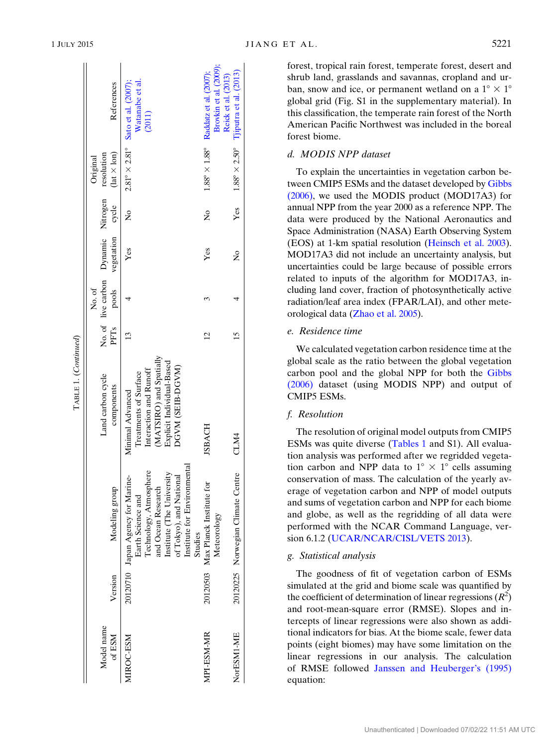|                      | References                                                 | Watanabe et al.<br>Sato et al. (2007);<br>(2011)                                                                                                                                                         | Brovkin et al. (2009);<br>$1.88^{\circ} \times 1.88^{\circ}$ Raddatz et al. (2007);<br>Reick et al. (2013) | $1.88^{\circ} \times 2.50^{\circ}$ Tjiputra et al. (2013) |
|----------------------|------------------------------------------------------------|----------------------------------------------------------------------------------------------------------------------------------------------------------------------------------------------------------|------------------------------------------------------------------------------------------------------------|-----------------------------------------------------------|
|                      | $(\text{lat} \times \text{lon})$<br>resolution<br>Original | $2.81^{\circ} \times 2.81^{\circ}$                                                                                                                                                                       |                                                                                                            |                                                           |
|                      | cycle                                                      | $\frac{1}{2}$                                                                                                                                                                                            | $\frac{1}{2}$                                                                                              | Yes                                                       |
|                      | vegetation                                                 | Yes                                                                                                                                                                                                      | Yes                                                                                                        | $\frac{1}{2}$                                             |
|                      | No. of live carbon Dynamic Nitrogen<br>pools<br>No. of     |                                                                                                                                                                                                          |                                                                                                            |                                                           |
|                      | PFTs                                                       | S                                                                                                                                                                                                        | $\overline{2}$                                                                                             | $^{15}$                                                   |
| TABLE 1. (Continued) | Land carbon cycle<br>components                            | (MATSIRO) and Spatially<br>Explicit Individual-Based<br>DGVM (SEIB-DGVM)<br>Interaction and Runoff<br>Treatments of Surface<br>Minimal Advanced                                                          | <b>JSBACH</b>                                                                                              | CLM4                                                      |
|                      | dno.fa<br>Modeling '                                       | Institute for Environmental<br>Technology, Atmosphere<br>Institute (The University<br>of Tokyo), and National<br>20120710 Japan Agency for Marine-<br>and Ocean Research<br>Earth Science and<br>Studies | 20120503 Max Planck Institute for<br>Meteorology                                                           | 20120225 Norwegian Climate Centre                         |
|                      | Version                                                    |                                                                                                                                                                                                          |                                                                                                            |                                                           |
|                      | Model name<br>of ESM                                       | MIROC-ESM                                                                                                                                                                                                | <b>MPI-ESM-MR</b>                                                                                          | NorESM1-ME                                                |

forest, tropical rain forest, temperate forest, desert and shrub land, grasslands and savannas, cropland and urban, snow and ice, or permanent wetland on a  $1^{\circ} \times 1^{\circ}$ global grid (Fig. S1 in the supplementary material). In this classification, the temperate rain forest of the North American Pacific Northwest was included in the boreal forest biome.

# d. MODIS NPP dataset

To explain the uncertainties in vegetation carbon between CMIP5 ESMs and the dataset developed by [Gibbs](#page-13-12) [\(2006\),](#page-13-12) we used the MODIS product (MOD17A3) for annual NPP from the year 2000 as a reference NPP. The data were produced by the National Aeronautics and Space Administration (NASA) Earth Observing System (EOS) at 1-km spatial resolution [\(Heinsch et al. 2003](#page-13-21)). MOD17A3 did not include an uncertainty analysis, but uncertainties could be large because of possible errors related to inputs of the algorithm for MOD17A3, including land cover, fraction of photosynthetically active radiation/leaf area index (FPAR/LAI), and other meteorological data [\(Zhao et al. 2005\)](#page-15-5).

# e. Residence time

We calculated vegetation carbon residence time at the global scale as the ratio between the global vegetation carbon pool and the global NPP for both the [Gibbs](#page-13-12) [\(2006\)](#page-13-12) dataset (using MODIS NPP) and output of CMIP5 ESMs.

# f. Resolution

The resolution of original model outputs from CMIP5 ESMs was quite diverse ([Tables 1](#page-3-0) and S1). All evaluation analysis was performed after we regridded vegetation carbon and NPP data to  $1^{\circ} \times 1^{\circ}$  cells assuming conservation of mass. The calculation of the yearly average of vegetation carbon and NPP of model outputs and sums of vegetation carbon and NPP for each biome and globe, as well as the regridding of all data were performed with the NCAR Command Language, version 6.1.2 ([UCAR/NCAR/CISL/VETS 2013](#page-15-6)).

## g. Statistical analysis

The goodness of fit of vegetation carbon of ESMs simulated at the grid and biome scale was quantified by the coefficient of determination of linear regressions  $(R^2)$ and root-mean-square error (RMSE). Slopes and intercepts of linear regressions were also shown as additional indicators for bias. At the biome scale, fewer data points (eight biomes) may have some limitation on the linear regressions in our analysis. The calculation of RMSE followed [Janssen and Heuberger's \(1995\)](#page-14-21) equation: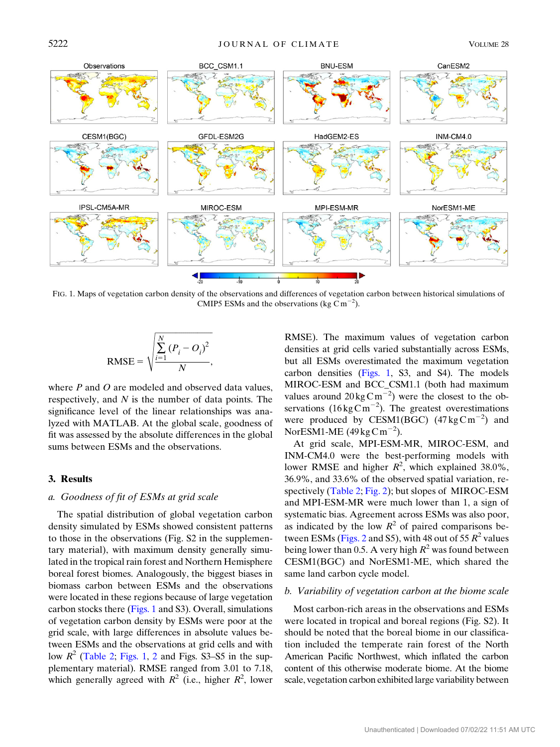<span id="page-5-0"></span>

FIG. 1. Maps of vegetation carbon density of the observations and differences of vegetation carbon between historical simulations of CMIP5 ESMs and the observations (kg  $\text{C m}^{-2}$ ).

$$
RMSE = \sqrt{\frac{\sum_{i=1}^{N} (P_i - O_i)^2}{N}},
$$

where  $P$  and  $O$  are modeled and observed data values, respectively, and  $N$  is the number of data points. The significance level of the linear relationships was analyzed with MATLAB. At the global scale, goodness of fit was assessed by the absolute differences in the global sums between ESMs and the observations.

# 3. Results

## a. Goodness of fit of ESMs at grid scale

The spatial distribution of global vegetation carbon density simulated by ESMs showed consistent patterns to those in the observations (Fig. S2 in the supplementary material), with maximum density generally simulated in the tropical rain forest and Northern Hemisphere boreal forest biomes. Analogously, the biggest biases in biomass carbon between ESMs and the observations were located in these regions because of large vegetation carbon stocks there ([Figs. 1](#page-5-0) and S3). Overall, simulations of vegetation carbon density by ESMs were poor at the grid scale, with large differences in absolute values between ESMs and the observations at grid cells and with low  $R^2$  $R^2$  [\(Table 2;](#page-6-0) [Figs. 1,](#page-5-0) 2 and Figs. S3–S5 in the supplementary material). RMSE ranged from 3.01 to 7.18, which generally agreed with  $R^2$  (i.e., higher  $R^2$ , lower

RMSE). The maximum values of vegetation carbon densities at grid cells varied substantially across ESMs, but all ESMs overestimated the maximum vegetation carbon densities [\(Figs. 1](#page-5-0), S3, and S4). The models MIROC-ESM and BCC\_CSM1.1 (both had maximum values around  $20 \text{ kg} \text{C} \text{m}^{-2}$ ) were the closest to the observations (16 kg Cm<sup>-2</sup>). The greatest overestimations were produced by CESM1(BGC)  $(47 \text{ kg C m}^{-2})$  and NorESM1-ME  $(49 \text{ kg} \text{C} \text{m}^{-2})$ .

At grid scale, MPI-ESM-MR, MIROC-ESM, and INM-CM4.0 were the best-performing models with lower RMSE and higher  $R^2$ , which explained 38.0%, 36.9%, and 33.6% of the observed spatial variation, respectively [\(Table 2](#page-6-0); [Fig. 2](#page-6-1)); but slopes of MIROC-ESM and MPI-ESM-MR were much lower than 1, a sign of systematic bias. Agreement across ESMs was also poor, as indicated by the low  $R^2$  of paired comparisons be-tween ESMs [\(Figs. 2](#page-6-1) and S5), with 48 out of 55  $R^2$  values being lower than 0.5. A very high  $R^2$  was found between CESM1(BGC) and NorESM1-ME, which shared the same land carbon cycle model.

## b. Variability of vegetation carbon at the biome scale

Most carbon-rich areas in the observations and ESMs were located in tropical and boreal regions (Fig. S2). It should be noted that the boreal biome in our classification included the temperate rain forest of the North American Pacific Northwest, which inflated the carbon content of this otherwise moderate biome. At the biome scale, vegetation carbon exhibited large variability between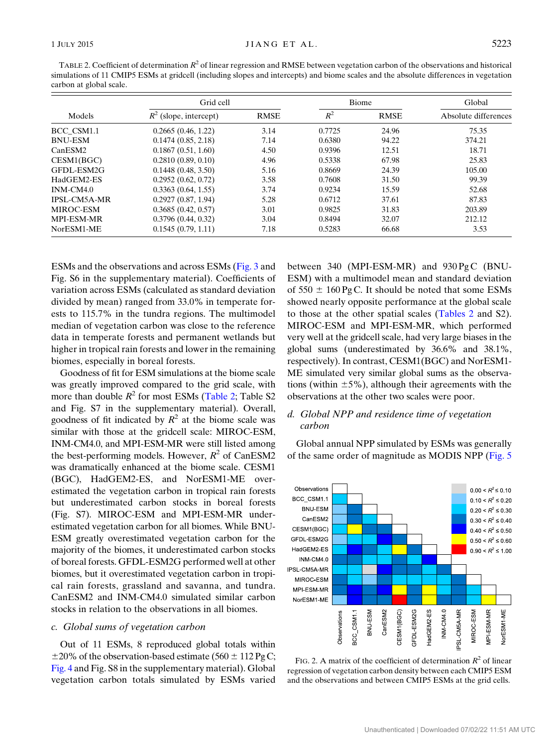<span id="page-6-0"></span>TABLE 2. Coefficient of determination  $R^2$  of linear regression and RMSE between vegetation carbon of the observations and historical simulations of 11 CMIP5 ESMs at gridcell (including slopes and intercepts) and biome scales and the absolute differences in vegetation carbon at global scale.

|                     | Grid cell                |             |        | <b>Biome</b> | Global               |
|---------------------|--------------------------|-------------|--------|--------------|----------------------|
| Models              | $R^2$ (slope, intercept) | <b>RMSE</b> | $R^2$  | <b>RMSE</b>  | Absolute differences |
| BCC CSM1.1          | 0.2665(0.46, 1.22)       | 3.14        | 0.7725 | 24.96        | 75.35                |
| <b>BNU-ESM</b>      | 0.1474(0.85, 2.18)       | 7.14        | 0.6380 | 94.22        | 374.21               |
| CanESM2             | 0.1867(0.51, 1.60)       | 4.50        | 0.9396 | 12.51        | 18.71                |
| CESM1(BGC)          | 0.2810(0.89, 0.10)       | 4.96        | 0.5338 | 67.98        | 25.83                |
| GFDL-ESM2G          | 0.1448(0.48, 3.50)       | 5.16        | 0.8669 | 24.39        | 105.00               |
| HadGEM2-ES          | 0.2952(0.62, 0.72)       | 3.58        | 0.7608 | 31.50        | 99.39                |
| $INM-CM4.0$         | 0.3363(0.64, 1.55)       | 3.74        | 0.9234 | 15.59        | 52.68                |
| <b>IPSL-CM5A-MR</b> | 0.2927(0.87, 1.94)       | 5.28        | 0.6712 | 37.61        | 87.83                |
| MIROC-ESM           | 0.3685(0.42, 0.57)       | 3.01        | 0.9825 | 31.83        | 203.89               |
| <b>MPI-ESM-MR</b>   | 0.3796(0.44, 0.32)       | 3.04        | 0.8494 | 32.07        | 212.12               |
| NorESM1-ME          | 0.1545(0.79, 1.11)       | 7.18        | 0.5283 | 66.68        | 3.53                 |

ESMs and the observations and across ESMs [\(Fig. 3](#page-7-0) and Fig. S6 in the supplementary material). Coefficients of variation across ESMs (calculated as standard deviation divided by mean) ranged from 33.0% in temperate forests to 115.7% in the tundra regions. The multimodel median of vegetation carbon was close to the reference data in temperate forests and permanent wetlands but higher in tropical rain forests and lower in the remaining biomes, especially in boreal forests.

Goodness of fit for ESM simulations at the biome scale was greatly improved compared to the grid scale, with more than double  $R^2$  for most ESMs [\(Table 2](#page-6-0); Table S2 and Fig. S7 in the supplementary material). Overall, goodness of fit indicated by  $R^2$  at the biome scale was similar with those at the gridcell scale: MIROC-ESM, INM-CM4.0, and MPI-ESM-MR were still listed among the best-performing models. However,  $R^2$  of CanESM2 was dramatically enhanced at the biome scale. CESM1 (BGC), HadGEM2-ES, and NorESM1-ME overestimated the vegetation carbon in tropical rain forests but underestimated carbon stocks in boreal forests (Fig. S7). MIROC-ESM and MPI-ESM-MR underestimated vegetation carbon for all biomes. While BNU-ESM greatly overestimated vegetation carbon for the majority of the biomes, it underestimated carbon stocks of boreal forests. GFDL-ESM2G performed well at other biomes, but it overestimated vegetation carbon in tropical rain forests, grassland and savanna, and tundra. CanESM2 and INM-CM4.0 simulated similar carbon stocks in relation to the observations in all biomes.

## c. Global sums of vegetation carbon

Out of 11 ESMs, 8 reproduced global totals within  $\pm 20\%$  of the observation-based estimate (560  $\pm$  112 Pg C; [Fig. 4](#page-8-0) and Fig. S8 in the supplementary material). Global vegetation carbon totals simulated by ESMs varied between 340 (MPI-ESM-MR) and 930 Pg C (BNU-ESM) with a multimodel mean and standard deviation of  $550 \pm 160$  Pg C. It should be noted that some ESMs showed nearly opposite performance at the global scale to those at the other spatial scales ([Tables 2](#page-6-0) and S2). MIROC-ESM and MPI-ESM-MR, which performed very well at the gridcell scale, had very large biases in the global sums (underestimated by 36.6% and 38.1%, respectively). In contrast, CESM1(BGC) and NorESM1- ME simulated very similar global sums as the observations (within  $\pm 5\%$ ), although their agreements with the observations at the other two scales were poor.

# d. Global NPP and residence time of vegetation carbon

Global annual NPP simulated by ESMs was generally of the same order of magnitude as MODIS NPP [\(Fig. 5](#page-9-0)

<span id="page-6-1"></span>

FIG. 2. A matrix of the coefficient of determination  $R^2$  of linear regression of vegetation carbon density between each CMIP5 ESM and the observations and between CMIP5 ESMs at the grid cells.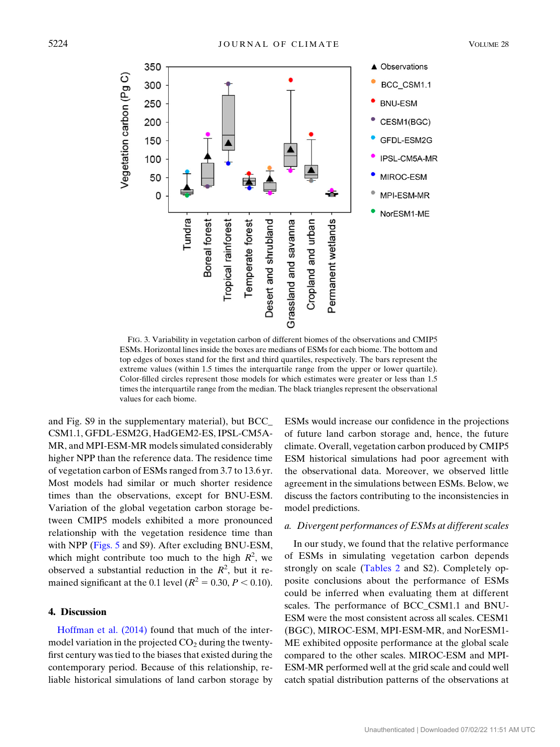<span id="page-7-0"></span>

FIG. 3. Variability in vegetation carbon of different biomes of the observations and CMIP5 ESMs. Horizontal lines inside the boxes are medians of ESMs for each biome. The bottom and top edges of boxes stand for the first and third quartiles, respectively. The bars represent the extreme values (within 1.5 times the interquartile range from the upper or lower quartile). Color-filled circles represent those models for which estimates were greater or less than 1.5 times the interquartile range from the median. The black triangles represent the observational values for each biome.

and Fig. S9 in the supplementary material), but BCC\_ CSM1.1, GFDL-ESM2G, HadGEM2-ES, IPSL-CM5A-MR, and MPI-ESM-MR models simulated considerably higher NPP than the reference data. The residence time of vegetation carbon of ESMs ranged from 3.7 to 13.6 yr. Most models had similar or much shorter residence times than the observations, except for BNU-ESM. Variation of the global vegetation carbon storage between CMIP5 models exhibited a more pronounced relationship with the vegetation residence time than with NPP ([Figs. 5](#page-9-0) and S9). After excluding BNU-ESM, which might contribute too much to the high  $R^2$ , we observed a substantial reduction in the  $R^2$ , but it remained significant at the 0.1 level ( $R^2 = 0.30, P < 0.10$ ).

## 4. Discussion

[Hoffman et al. \(2014\)](#page-13-11) found that much of the intermodel variation in the projected  $CO<sub>2</sub>$  during the twentyfirst century was tied to the biases that existed during the contemporary period. Because of this relationship, reliable historical simulations of land carbon storage by

ESMs would increase our confidence in the projections of future land carbon storage and, hence, the future climate. Overall, vegetation carbon produced by CMIP5 ESM historical simulations had poor agreement with the observational data. Moreover, we observed little agreement in the simulations between ESMs. Below, we discuss the factors contributing to the inconsistencies in model predictions.

## a. Divergent performances of ESMs at different scales

In our study, we found that the relative performance of ESMs in simulating vegetation carbon depends strongly on scale ([Tables 2](#page-6-0) and S2). Completely opposite conclusions about the performance of ESMs could be inferred when evaluating them at different scales. The performance of BCC\_CSM1.1 and BNU-ESM were the most consistent across all scales. CESM1 (BGC), MIROC-ESM, MPI-ESM-MR, and NorESM1- ME exhibited opposite performance at the global scale compared to the other scales. MIROC-ESM and MPI-ESM-MR performed well at the grid scale and could well catch spatial distribution patterns of the observations at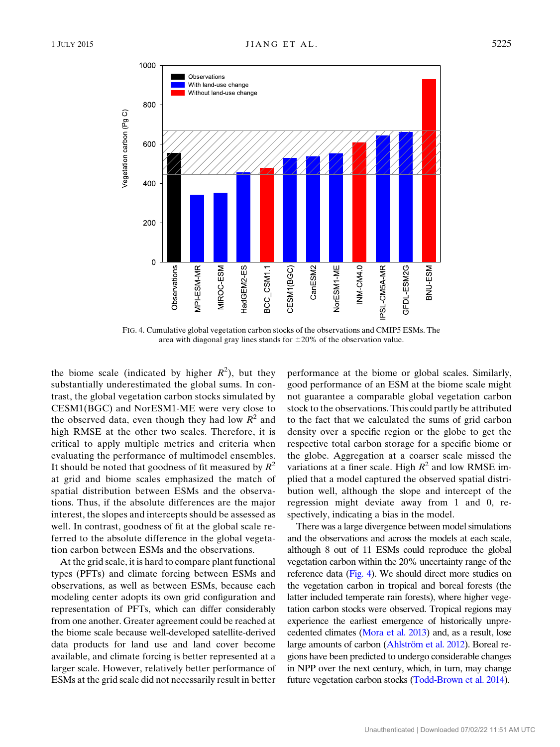<span id="page-8-0"></span>

FIG. 4. Cumulative global vegetation carbon stocks of the observations and CMIP5 ESMs. The area with diagonal gray lines stands for  $\pm 20\%$  of the observation value.

the biome scale (indicated by higher  $R^2$ ), but they substantially underestimated the global sums. In contrast, the global vegetation carbon stocks simulated by CESM1(BGC) and NorESM1-ME were very close to the observed data, even though they had low  $R^2$  and high RMSE at the other two scales. Therefore, it is critical to apply multiple metrics and criteria when evaluating the performance of multimodel ensembles. It should be noted that goodness of fit measured by  $R^2$ at grid and biome scales emphasized the match of spatial distribution between ESMs and the observations. Thus, if the absolute differences are the major interest, the slopes and intercepts should be assessed as well. In contrast, goodness of fit at the global scale referred to the absolute difference in the global vegetation carbon between ESMs and the observations.

At the grid scale, it is hard to compare plant functional types (PFTs) and climate forcing between ESMs and observations, as well as between ESMs, because each modeling center adopts its own grid configuration and representation of PFTs, which can differ considerably from one another. Greater agreement could be reached at the biome scale because well-developed satellite-derived data products for land use and land cover become available, and climate forcing is better represented at a larger scale. However, relatively better performance of ESMs at the grid scale did not necessarily result in better

performance at the biome or global scales. Similarly, good performance of an ESM at the biome scale might not guarantee a comparable global vegetation carbon stock to the observations. This could partly be attributed to the fact that we calculated the sums of grid carbon density over a specific region or the globe to get the respective total carbon storage for a specific biome or the globe. Aggregation at a coarser scale missed the variations at a finer scale. High  $R^2$  and low RMSE implied that a model captured the observed spatial distribution well, although the slope and intercept of the regression might deviate away from 1 and 0, respectively, indicating a bias in the model.

There was a large divergence between model simulations and the observations and across the models at each scale, although 8 out of 11 ESMs could reproduce the global vegetation carbon within the 20% uncertainty range of the reference data ([Fig. 4\)](#page-8-0). We should direct more studies on the vegetation carbon in tropical and boreal forests (the latter included temperate rain forests), where higher vegetation carbon stocks were observed. Tropical regions may experience the earliest emergence of historically unprecedented climates [\(Mora et al. 2013\)](#page-14-25) and, as a result, lose large amounts of carbon (Ahlströ[m et al. 2012](#page-13-22)). Boreal regions have been predicted to undergo considerable changes in NPP over the next century, which, in turn, may change future vegetation carbon stocks ([Todd-Brown et al. 2014](#page-15-0)).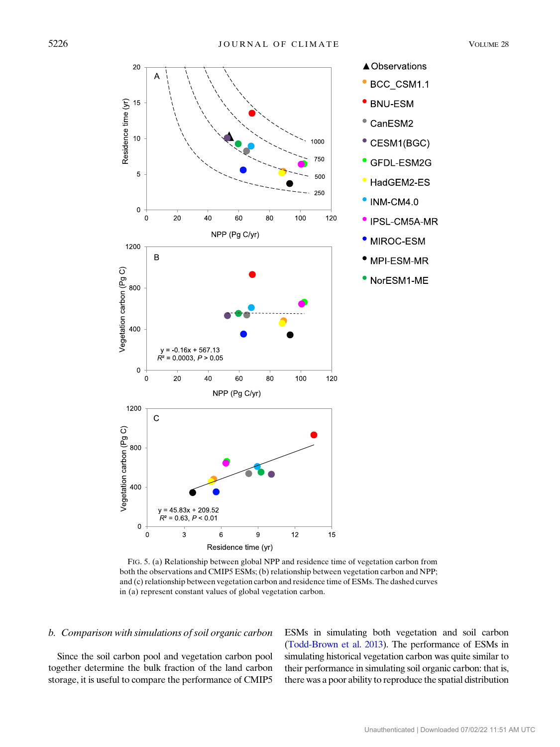<span id="page-9-0"></span>

▲ Observations

- **BCC\_CSM1.1**
- **BNU-ESM**
- CanESM2
- CESM1(BGC)
- GFDL-ESM2G
- HadGEM2-ES
- INM-CM4.0
- IPSL-CM5A-MR
- · MIROC-ESM
- MPI-ESM-MR
- NorESM1-ME

both the observations and CMIP5 ESMs; (b) relationship between vegetation carbon and NPP; and (c) relationship between vegetation carbon and residence time of ESMs. The dashed curves in (a) represent constant values of global vegetation carbon.

## b. Comparison with simulations of soil organic carbon

Since the soil carbon pool and vegetation carbon pool together determine the bulk fraction of the land carbon storage, it is useful to compare the performance of CMIP5 ESMs in simulating both vegetation and soil carbon ([Todd-Brown et al. 2013\)](#page-14-3). The performance of ESMs in simulating historical vegetation carbon was quite similar to their performance in simulating soil organic carbon: that is, there was a poor ability to reproduce the spatial distribution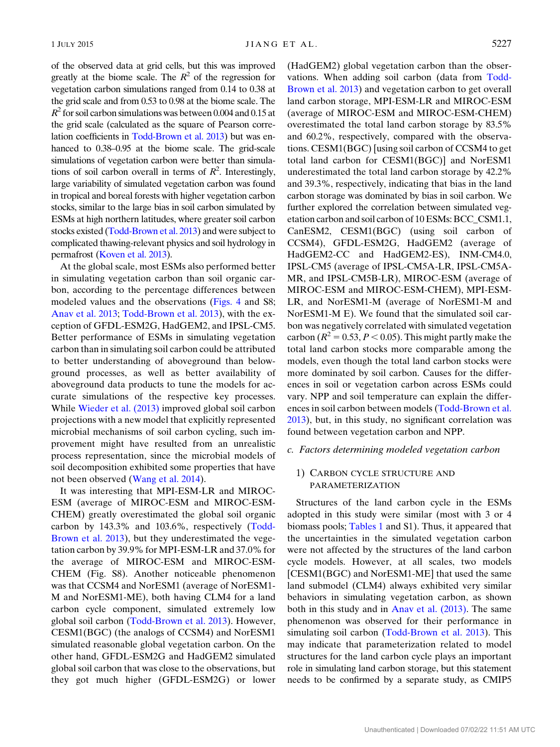of the observed data at grid cells, but this was improved greatly at the biome scale. The  $R^2$  of the regression for vegetation carbon simulations ranged from 0.14 to 0.38 at the grid scale and from 0.53 to 0.98 at the biome scale. The  $R^2$  for soil carbon simulations was between 0.004 and 0.15 at the grid scale (calculated as the square of Pearson correlation coefficients in [Todd-Brown et al. 2013\)](#page-14-3) but was enhanced to  $0.38-0.95$  at the biome scale. The grid-scale simulations of vegetation carbon were better than simulations of soil carbon overall in terms of  $R^2$ . Interestingly, large variability of simulated vegetation carbon was found in tropical and boreal forests with higher vegetation carbon stocks, similar to the large bias in soil carbon simulated by ESMs at high northern latitudes, where greater soil carbon stocks existed ([Todd-Brown et al. 2013\)](#page-14-3) and were subject to complicated thawing-relevant physics and soil hydrology in permafrost [\(Koven et al. 2013\)](#page-14-4).

At the global scale, most ESMs also performed better in simulating vegetation carbon than soil organic carbon, according to the percentage differences between modeled values and the observations [\(Figs. 4](#page-8-0) and S8; [Anav et al. 2013;](#page-13-8) [Todd-Brown et al. 2013](#page-14-3)), with the exception of GFDL-ESM2G, HadGEM2, and IPSL-CM5. Better performance of ESMs in simulating vegetation carbon than in simulating soil carbon could be attributed to better understanding of aboveground than belowground processes, as well as better availability of aboveground data products to tune the models for accurate simulations of the respective key processes. While [Wieder et al. \(2013\)](#page-15-8) improved global soil carbon projections with a new model that explicitly represented microbial mechanisms of soil carbon cycling, such improvement might have resulted from an unrealistic process representation, since the microbial models of soil decomposition exhibited some properties that have not been observed [\(Wang et al. 2014\)](#page-15-9).

It was interesting that MPI-ESM-LR and MIROC-ESM (average of MIROC-ESM and MIROC-ESM-CHEM) greatly overestimated the global soil organic carbon by 143.3% and 103.6%, respectively ([Todd-](#page-14-3)[Brown et al. 2013\)](#page-14-3), but they underestimated the vegetation carbon by 39.9% for MPI-ESM-LR and 37.0% for the average of MIROC-ESM and MIROC-ESM-CHEM (Fig. S8). Another noticeable phenomenon was that CCSM4 and NorESM1 (average of NorESM1- M and NorESM1-ME), both having CLM4 for a land carbon cycle component, simulated extremely low global soil carbon ([Todd-Brown et al. 2013\)](#page-14-3). However, CESM1(BGC) (the analogs of CCSM4) and NorESM1 simulated reasonable global vegetation carbon. On the other hand, GFDL-ESM2G and HadGEM2 simulated global soil carbon that was close to the observations, but they got much higher (GFDL-ESM2G) or lower (HadGEM2) global vegetation carbon than the observations. When adding soil carbon (data from [Todd-](#page-14-3)[Brown et al. 2013\)](#page-14-3) and vegetation carbon to get overall land carbon storage, MPI-ESM-LR and MIROC-ESM (average of MIROC-ESM and MIROC-ESM-CHEM) overestimated the total land carbon storage by 83.5% and 60.2%, respectively, compared with the observations. CESM1(BGC) [using soil carbon of CCSM4 to get total land carbon for CESM1(BGC)] and NorESM1 underestimated the total land carbon storage by 42.2% and 39.3%, respectively, indicating that bias in the land carbon storage was dominated by bias in soil carbon. We further explored the correlation between simulated vegetation carbon and soil carbon of 10 ESMs: BCC\_CSM1.1, CanESM2, CESM1(BGC) (using soil carbon of CCSM4), GFDL-ESM2G, HadGEM2 (average of HadGEM2-CC and HadGEM2-ES), INM-CM4.0, IPSL-CM5 (average of IPSL-CM5A-LR, IPSL-CM5A-MR, and IPSL-CM5B-LR), MIROC-ESM (average of MIROC-ESM and MIROC-ESM-CHEM), MPI-ESM-LR, and NorESM1-M (average of NorESM1-M and NorESM1-M E). We found that the simulated soil carbon was negatively correlated with simulated vegetation carbon ( $R^2 = 0.53, P < 0.05$ ). This might partly make the total land carbon stocks more comparable among the models, even though the total land carbon stocks were more dominated by soil carbon. Causes for the differences in soil or vegetation carbon across ESMs could vary. NPP and soil temperature can explain the differences in soil carbon between models ([Todd-Brown et al.](#page-14-3) [2013\)](#page-14-3), but, in this study, no significant correlation was found between vegetation carbon and NPP.

#### c. Factors determining modeled vegetation carbon

## 1) CARBON CYCLE STRUCTURE AND PARAMETERIZATION

Structures of the land carbon cycle in the ESMs adopted in this study were similar (most with 3 or 4 biomass pools; [Tables 1](#page-3-0) and S1). Thus, it appeared that the uncertainties in the simulated vegetation carbon were not affected by the structures of the land carbon cycle models. However, at all scales, two models [CESM1(BGC) and NorESM1-ME] that used the same land submodel (CLM4) always exhibited very similar behaviors in simulating vegetation carbon, as shown both in this study and in [Anav et al. \(2013\)](#page-13-8). The same phenomenon was observed for their performance in simulating soil carbon [\(Todd-Brown et al. 2013\)](#page-14-3). This may indicate that parameterization related to model structures for the land carbon cycle plays an important role in simulating land carbon storage, but this statement needs to be confirmed by a separate study, as CMIP5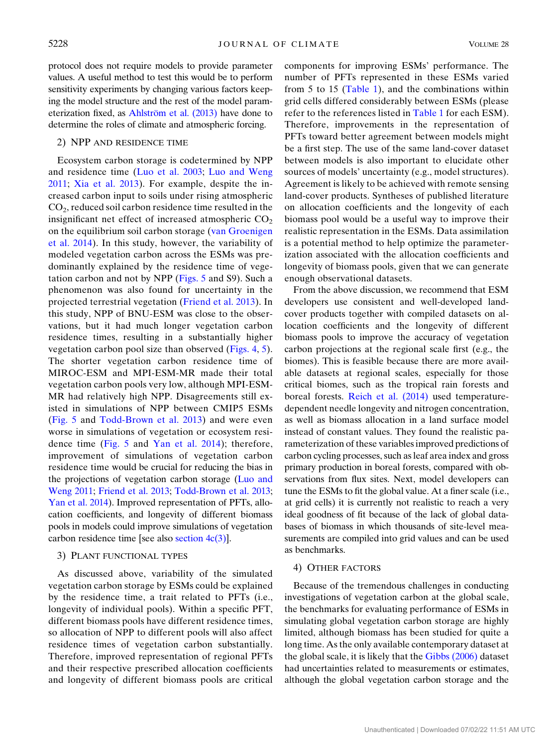protocol does not require models to provide parameter values. A useful method to test this would be to perform sensitivity experiments by changing various factors keeping the model structure and the rest of the model parameterization fixed, as Ahlströ[m et al. \(2013\)](#page-13-23) have done to determine the roles of climate and atmospheric forcing.

#### 2) NPP AND RESIDENCE TIME

Ecosystem carbon storage is codetermined by NPP and residence time ([Luo et al. 2003;](#page-14-26) [Luo and Weng](#page-14-27) [2011](#page-14-27); [Xia et al. 2013\)](#page-15-1). For example, despite the increased carbon input to soils under rising atmospheric  $CO<sub>2</sub>$ , reduced soil carbon residence time resulted in the insignificant net effect of increased atmospheric  $CO<sub>2</sub>$ on the equilibrium soil carbon storage ([van Groenigen](#page-15-10) [et al. 2014](#page-15-10)). In this study, however, the variability of modeled vegetation carbon across the ESMs was predominantly explained by the residence time of vegetation carbon and not by NPP [\(Figs. 5](#page-9-0) and S9). Such a phenomenon was also found for uncertainty in the projected terrestrial vegetation [\(Friend et al. 2013](#page-13-24)). In this study, NPP of BNU-ESM was close to the observations, but it had much longer vegetation carbon residence times, resulting in a substantially higher vegetation carbon pool size than observed ([Figs. 4,](#page-8-0) [5\)](#page-9-0). The shorter vegetation carbon residence time of MIROC-ESM and MPI-ESM-MR made their total vegetation carbon pools very low, although MPI-ESM-MR had relatively high NPP. Disagreements still existed in simulations of NPP between CMIP5 ESMs ([Fig. 5](#page-9-0) and [Todd-Brown et al. 2013\)](#page-14-3) and were even worse in simulations of vegetation or ecosystem residence time [\(Fig. 5](#page-9-0) and [Yan et al. 2014\)](#page-15-11); therefore, improvement of simulations of vegetation carbon residence time would be crucial for reducing the bias in the projections of vegetation carbon storage ([Luo and](#page-14-27) [Weng 2011](#page-14-27); [Friend et al. 2013](#page-13-24); [Todd-Brown et al. 2013;](#page-14-3) [Yan et al. 2014\)](#page-15-11). Improved representation of PFTs, allocation coefficients, and longevity of different biomass pools in models could improve simulations of vegetation carbon residence time [see also section  $4c(3)$ ].

#### <span id="page-11-0"></span>3) PLANT FUNCTIONAL TYPES

As discussed above, variability of the simulated vegetation carbon storage by ESMs could be explained by the residence time, a trait related to PFTs (i.e., longevity of individual pools). Within a specific PFT, different biomass pools have different residence times, so allocation of NPP to different pools will also affect residence times of vegetation carbon substantially. Therefore, improved representation of regional PFTs and their respective prescribed allocation coefficients and longevity of different biomass pools are critical components for improving ESMs' performance. The number of PFTs represented in these ESMs varied from 5 to 15 ([Table 1\)](#page-3-0), and the combinations within grid cells differed considerably between ESMs (please refer to the references listed in [Table 1](#page-3-0) for each ESM). Therefore, improvements in the representation of PFTs toward better agreement between models might be a first step. The use of the same land-cover dataset between models is also important to elucidate other sources of models' uncertainty (e.g., model structures). Agreement is likely to be achieved with remote sensing land-cover products. Syntheses of published literature on allocation coefficients and the longevity of each biomass pool would be a useful way to improve their realistic representation in the ESMs. Data assimilation is a potential method to help optimize the parameterization associated with the allocation coefficients and longevity of biomass pools, given that we can generate enough observational datasets.

From the above discussion, we recommend that ESM developers use consistent and well-developed landcover products together with compiled datasets on allocation coefficients and the longevity of different biomass pools to improve the accuracy of vegetation carbon projections at the regional scale first (e.g., the biomes). This is feasible because there are more available datasets at regional scales, especially for those critical biomes, such as the tropical rain forests and boreal forests. [Reich et al. \(2014\)](#page-14-28) used temperaturedependent needle longevity and nitrogen concentration, as well as biomass allocation in a land surface model instead of constant values. They found the realistic parameterization of these variables improved predictions of carbon cycling processes, such as leaf area index and gross primary production in boreal forests, compared with observations from flux sites. Next, model developers can tune the ESMs to fit the global value. At a finer scale (i.e., at grid cells) it is currently not realistic to reach a very ideal goodness of fit because of the lack of global databases of biomass in which thousands of site-level measurements are compiled into grid values and can be used as benchmarks.

## 4) OTHER FACTORS

Because of the tremendous challenges in conducting investigations of vegetation carbon at the global scale, the benchmarks for evaluating performance of ESMs in simulating global vegetation carbon storage are highly limited, although biomass has been studied for quite a long time. As the only available contemporary dataset at the global scale, it is likely that the [Gibbs \(2006\)](#page-13-12) dataset had uncertainties related to measurements or estimates, although the global vegetation carbon storage and the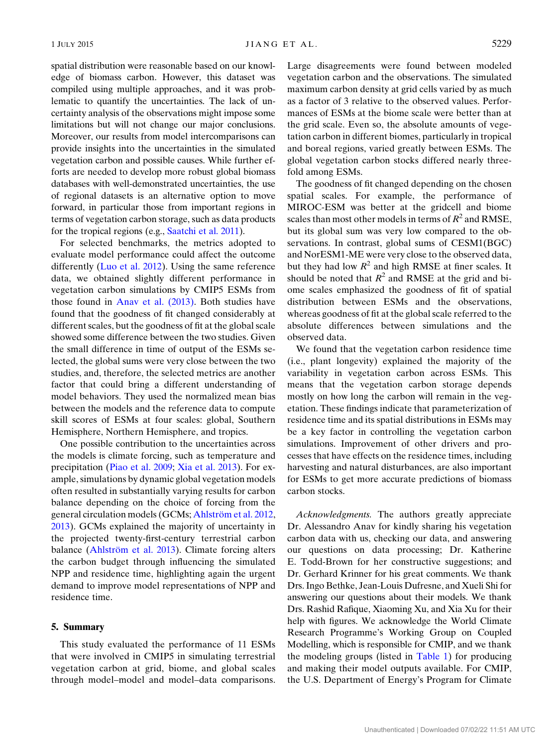spatial distribution were reasonable based on our knowledge of biomass carbon. However, this dataset was compiled using multiple approaches, and it was problematic to quantify the uncertainties. The lack of uncertainty analysis of the observations might impose some limitations but will not change our major conclusions. Moreover, our results from model intercomparisons can provide insights into the uncertainties in the simulated vegetation carbon and possible causes. While further efforts are needed to develop more robust global biomass databases with well-demonstrated uncertainties, the use of regional datasets is an alternative option to move forward, in particular those from important regions in terms of vegetation carbon storage, such as data products for the tropical regions (e.g., [Saatchi et al. 2011](#page-14-29)).

For selected benchmarks, the metrics adopted to evaluate model performance could affect the outcome differently ([Luo et al. 2012\)](#page-14-5). Using the same reference data, we obtained slightly different performance in vegetation carbon simulations by CMIP5 ESMs from those found in [Anav et al. \(2013\)](#page-13-8). Both studies have found that the goodness of fit changed considerably at different scales, but the goodness of fit at the global scale showed some difference between the two studies. Given the small difference in time of output of the ESMs selected, the global sums were very close between the two studies, and, therefore, the selected metrics are another factor that could bring a different understanding of model behaviors. They used the normalized mean bias between the models and the reference data to compute skill scores of ESMs at four scales: global, Southern Hemisphere, Northern Hemisphere, and tropics.

One possible contribution to the uncertainties across the models is climate forcing, such as temperature and precipitation ([Piao et al. 2009;](#page-14-30) [Xia et al. 2013\)](#page-15-1). For example, simulations by dynamic global vegetation models often resulted in substantially varying results for carbon balance depending on the choice of forcing from the general circulation models (GCMs; Ahlströ[m et al. 2012,](#page-13-22) [2013\)](#page-13-23). GCMs explained the majority of uncertainty in the projected twenty-first-century terrestrial carbon balance (Ahlströ[m et al. 2013\)](#page-13-23). Climate forcing alters the carbon budget through influencing the simulated NPP and residence time, highlighting again the urgent demand to improve model representations of NPP and residence time.

#### 5. Summary

This study evaluated the performance of 11 ESMs that were involved in CMIP5 in simulating terrestrial vegetation carbon at grid, biome, and global scales through model–model and model–data comparisons. Large disagreements were found between modeled vegetation carbon and the observations. The simulated maximum carbon density at grid cells varied by as much as a factor of 3 relative to the observed values. Performances of ESMs at the biome scale were better than at the grid scale. Even so, the absolute amounts of vegetation carbon in different biomes, particularly in tropical and boreal regions, varied greatly between ESMs. The global vegetation carbon stocks differed nearly threefold among ESMs.

The goodness of fit changed depending on the chosen spatial scales. For example, the performance of MIROC-ESM was better at the gridcell and biome scales than most other models in terms of  $R^2$  and RMSE, but its global sum was very low compared to the observations. In contrast, global sums of CESM1(BGC) and NorESM1-ME were very close to the observed data, but they had low  $R^2$  and high RMSE at finer scales. It should be noted that  $R^2$  and RMSE at the grid and biome scales emphasized the goodness of fit of spatial distribution between ESMs and the observations, whereas goodness of fit at the global scale referred to the absolute differences between simulations and the observed data.

We found that the vegetation carbon residence time (i.e., plant longevity) explained the majority of the variability in vegetation carbon across ESMs. This means that the vegetation carbon storage depends mostly on how long the carbon will remain in the vegetation. These findings indicate that parameterization of residence time and its spatial distributions in ESMs may be a key factor in controlling the vegetation carbon simulations. Improvement of other drivers and processes that have effects on the residence times, including harvesting and natural disturbances, are also important for ESMs to get more accurate predictions of biomass carbon stocks.

Acknowledgments. The authors greatly appreciate Dr. Alessandro Anav for kindly sharing his vegetation carbon data with us, checking our data, and answering our questions on data processing; Dr. Katherine E. Todd-Brown for her constructive suggestions; and Dr. Gerhard Krinner for his great comments. We thank Drs. Ingo Bethke, Jean-Louis Dufresne, and Xueli Shi for answering our questions about their models. We thank Drs. Rashid Rafique, Xiaoming Xu, and Xia Xu for their help with figures. We acknowledge the World Climate Research Programme's Working Group on Coupled Modelling, which is responsible for CMIP, and we thank the modeling groups (listed in [Table 1\)](#page-3-0) for producing and making their model outputs available. For CMIP, the U.S. Department of Energy's Program for Climate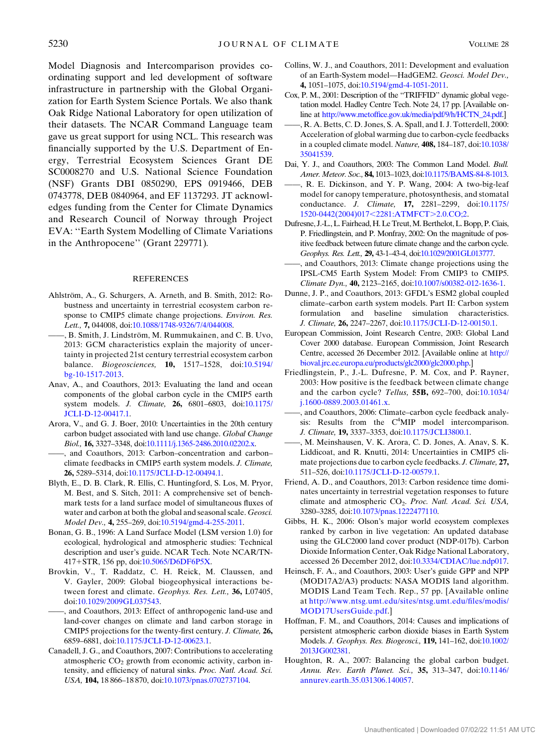Model Diagnosis and Intercomparison provides coordinating support and led development of software infrastructure in partnership with the Global Organization for Earth System Science Portals. We also thank Oak Ridge National Laboratory for open utilization of their datasets. The NCAR Command Language team gave us great support for using NCL. This research was financially supported by the U.S. Department of Energy, Terrestrial Ecosystem Sciences Grant DE SC0008270 and U.S. National Science Foundation (NSF) Grants DBI 0850290, EPS 0919466, DEB 0743778, DEB 0840964, and EF 1137293. JT acknowledges funding from the Center for Climate Dynamics and Research Council of Norway through Project EVA: ''Earth System Modelling of Climate Variations in the Anthropocene'' (Grant 229771).

#### REFERENCES

- <span id="page-13-22"></span>Ahlström, A., G. Schurgers, A. Arneth, and B. Smith, 2012: Robustness and uncertainty in terrestrial ecosystem carbon response to CMIP5 climate change projections. Environ. Res. Lett., 7, 044008, doi[:10.1088/1748-9326/7/4/044008](http://dx.doi.org/10.1088/1748-9326/7/4/044008).
- <span id="page-13-23"></span>——, B. Smith, J. Lindström, M. Rummukainen, and C. B. Uvo, 2013: GCM characteristics explain the majority of uncertainty in projected 21st century terrestrial ecosystem carbon balance. Biogeosciences, 10, 1517–1528, doi:[10.5194/](http://dx.doi.org/10.5194/bg-10-1517-2013) [bg-10-1517-2013](http://dx.doi.org/10.5194/bg-10-1517-2013).
- <span id="page-13-8"></span>Anav, A., and Coauthors, 2013: Evaluating the land and ocean components of the global carbon cycle in the CMIP5 earth system models. J. Climate, 26, 6801–6803, doi[:10.1175/](http://dx.doi.org/10.1175/JCLI-D-12-00417.1) [JCLI-D-12-00417.1.](http://dx.doi.org/10.1175/JCLI-D-12-00417.1)
- <span id="page-13-16"></span>Arora, V., and G. J. Boer, 2010: Uncertainties in the 20th century carbon budget associated with land use change. Global Change Biol., 16, 3327–3348, doi:[10.1111/j.1365-2486.2010.02202.x.](http://dx.doi.org/10.1111/j.1365-2486.2010.02202.x)
- <span id="page-13-6"></span>——, and Coauthors, 2013: Carbon–concentration and carbon– climate feedbacks in CMIP5 earth system models. J. Climate, 26, 5289–5314, doi[:10.1175/JCLI-D-12-00494.1](http://dx.doi.org/10.1175/JCLI-D-12-00494.1).
- <span id="page-13-10"></span>Blyth, E., D. B. Clark, R. Ellis, C. Huntingford, S. Los, M. Pryor, M. Best, and S. Sitch, 2011: A comprehensive set of benchmark tests for a land surface model of simultaneous fluxes of water and carbon at both the global and seasonal scale. Geosci. Model Dev., 4, 255–269, doi:[10.5194/gmd-4-255-2011.](http://dx.doi.org/10.5194/gmd-4-255-2011)
- <span id="page-13-20"></span>Bonan, G. B., 1996: A Land Surface Model (LSM version 1.0) for ecological, hydrological and atmospheric studies: Technical description and user's guide. NCAR Tech. Note NCAR/TN-417+STR, 156 pp, doi:[10.5065/D6DF6P5X.](http://dx.doi.org/10.5065/D6DF6P5X)
- Brovkin, V., T. Raddatz, C. H. Reick, M. Claussen, and V. Gayler, 2009: Global biogeophysical interactions between forest and climate. Geophys. Res. Lett., 36, L07405, doi:[10.1029/2009GL037543](http://dx.doi.org/10.1029/2009GL037543).
- <span id="page-13-9"></span>——, and Coauthors, 2013: Effect of anthropogenic land-use and land-cover changes on climate and land carbon storage in CMIP5 projections for the twenty-first century. J. Climate, 26, 6859–6881, doi:[10.1175/JCLI-D-12-00623.1.](http://dx.doi.org/10.1175/JCLI-D-12-00623.1)
- <span id="page-13-0"></span>Canadell, J. G., and Coauthors, 2007: Contributions to accelerating atmospheric  $CO<sub>2</sub>$  growth from economic activity, carbon intensity, and efficiency of natural sinks. Proc. Natl. Acad. Sci. USA, 104, 18 866–18 870, doi:[10.1073/pnas.0702737104.](http://dx.doi.org/10.1073/pnas.0702737104)
- <span id="page-13-19"></span>Collins, W. J., and Coauthors, 2011: Development and evaluation of an Earth-System model—HadGEM2. Geosci. Model Dev., 4, 1051–1075, doi[:10.5194/gmd-4-1051-2011.](http://dx.doi.org/10.5194/gmd-4-1051-2011)
- <span id="page-13-18"></span>Cox, P. M., 2001: Description of the ''TRIFFID'' dynamic global vegetation model. Hadley Centre Tech. Note 24, 17 pp. [Available online at [http://www.metoffice.gov.uk/media/pdf/9/h/HCTN\\_24.pdf](http://www.metoffice.gov.uk/media/pdf/9/h/HCTN_24.pdf).]
- <span id="page-13-2"></span>——, R. A. Betts, C. D. Jones, S. A. Spall, and I. J. Totterdell, 2000: Acceleration of global warming due to carbon-cycle feedbacks in a coupled climate model. Nature, 408, 184–187, doi[:10.1038/](http://dx.doi.org/10.1038/35041539) [35041539.](http://dx.doi.org/10.1038/35041539)
- <span id="page-13-15"></span>Dai, Y. J., and Coauthors, 2003: The Common Land Model. Bull. Amer. Meteor. Soc., 84, 1013–1023, doi:[10.1175/BAMS-84-8-1013](http://dx.doi.org/10.1175/BAMS-84-8-1013).
- ——, R. E. Dickinson, and Y. P. Wang, 2004: A two-big-leaf model for canopy temperature, photosynthesis, and stomatal conductance. J. Climate, 17, 2281–2299, doi[:10.1175/](http://dx.doi.org/10.1175/1520-0442(2004)017<2281:ATMFCT>2.0.CO;2) [1520-0442\(2004\)017](http://dx.doi.org/10.1175/1520-0442(2004)017<2281:ATMFCT>2.0.CO;2)<2281:ATMFCT>2.0.CO;2.
- <span id="page-13-3"></span>Dufresne, J.-L., L. Fairhead, H. Le Treut, M. Berthelot, L. Bopp, P. Ciais, P. Friedlingstein, and P. Monfray, 2002: On the magnitude of positive feedback between future climate change and the carbon cycle. Geophys. Res. Lett., 29, 43-1–43-4, doi[:10.1029/2001GL013777](http://dx.doi.org/10.1029/2001GL013777).
- <span id="page-13-13"></span>——, and Coauthors, 2013: Climate change projections using the IPSL-CM5 Earth System Model: From CMIP3 to CMIP5. Climate Dyn., 40, 2123–2165, doi[:10.1007/s00382-012-1636-1.](http://dx.doi.org/10.1007/s00382-012-1636-1)
- <span id="page-13-17"></span>Dunne, J. P., and Coauthors, 2013: GFDL's ESM2 global coupled climate–carbon earth system models. Part II: Carbon system formulation and baseline simulation characteristics. J. Climate, 26, 2247–2267, doi:[10.1175/JCLI-D-12-00150.1.](http://dx.doi.org/10.1175/JCLI-D-12-00150.1)
- <span id="page-13-14"></span>European Commission, Joint Research Centre, 2003: Global Land Cover 2000 database. European Commission, Joint Research Centre, accessed 26 December 2012. [Available online at [http://](http://bioval.jrc.ec.europa.eu/products/glc2000/glc2000.php) [bioval.jrc.ec.europa.eu/products/glc2000/glc2000.php.](http://bioval.jrc.ec.europa.eu/products/glc2000/glc2000.php)]
- <span id="page-13-4"></span>Friedlingstein, P., J.-L. Dufresne, P. M. Cox, and P. Rayner, 2003: How positive is the feedback between climate change and the carbon cycle? Tellus, 55B, 692–700, doi:[10.1034/](http://dx.doi.org/10.1034/j.1600-0889.2003.01461.x) [j.1600-0889.2003.01461.x.](http://dx.doi.org/10.1034/j.1600-0889.2003.01461.x)
- <span id="page-13-5"></span>-, and Coauthors, 2006: Climate-carbon cycle feedback analysis: Results from the C<sup>4</sup>MIP model intercomparison. J. Climate, 19, 3337–3353, doi:[10.1175/JCLI3800.1](http://dx.doi.org/10.1175/JCLI3800.1).
- <span id="page-13-7"></span>——, M. Meinshausen, V. K. Arora, C. D. Jones, A. Anav, S. K. Liddicoat, and R. Knutti, 2014: Uncertainties in CMIP5 climate projections due to carbon cycle feedbacks. J. Climate, 27, 511–526, doi[:10.1175/JCLI-D-12-00579.1](http://dx.doi.org/10.1175/JCLI-D-12-00579.1).
- <span id="page-13-24"></span>Friend, A. D., and Coauthors, 2013: Carbon residence time dominates uncertainty in terrestrial vegetation responses to future climate and atmospheric  $CO<sub>2</sub>$ . Proc. Natl. Acad. Sci. USA, 3280–3285, doi:[10.1073/pnas.1222477110.](http://dx.doi.org/10.1073/pnas.1222477110)
- <span id="page-13-12"></span>Gibbs, H. K., 2006: Olson's major world ecosystem complexes ranked by carbon in live vegetation: An updated database using the GLC2000 land cover product (NDP-017b). Carbon Dioxide Information Center, Oak Ridge National Laboratory, accessed 26 December 2012, doi[:10.3334/CDIAC/lue.ndp017](http://dx.doi.org/10.3334/CDIAC/lue.ndp017).
- <span id="page-13-21"></span>Heinsch, F. A., and Coauthors, 2003: User's guide GPP and NPP (MOD17A2/A3) products: NASA MODIS land algorithm. MODIS Land Team Tech. Rep., 57 pp. [Available online at [http://www.ntsg.umt.edu/sites/ntsg.umt.edu/files/modis/](http://www.ntsg.umt.edu/sites/ntsg.umt.edu/files/modis/MOD17UsersGuide.pdf) [MOD17UsersGuide.pdf](http://www.ntsg.umt.edu/sites/ntsg.umt.edu/files/modis/MOD17UsersGuide.pdf).]
- <span id="page-13-11"></span>Hoffman, F. M., and Coauthors, 2014: Causes and implications of persistent atmospheric carbon dioxide biases in Earth System Models. J. Geophys. Res. Biogeosci., 119, 141–162, doi:[10.1002/](http://dx.doi.org/10.1002/2013JG002381) [2013JG002381.](http://dx.doi.org/10.1002/2013JG002381)
- <span id="page-13-1"></span>Houghton, R. A., 2007: Balancing the global carbon budget. Annu. Rev. Earth Planet. Sci., 35, 313–347, doi[:10.1146/](http://dx.doi.org/10.1146/annurev.earth.35.031306.140057) [annurev.earth.35.031306.140057.](http://dx.doi.org/10.1146/annurev.earth.35.031306.140057)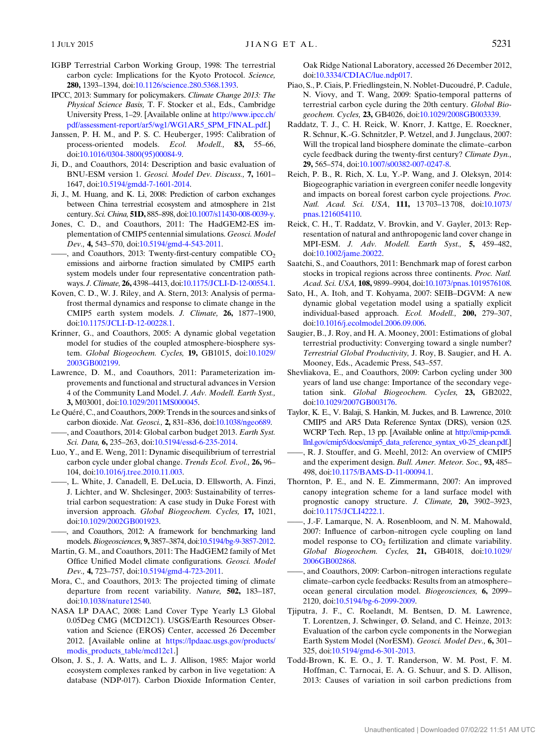- <span id="page-14-6"></span>IGBP Terrestrial Carbon Working Group, 1998: The terrestrial carbon cycle: Implications for the Kyoto Protocol. Science, 280, 1393–1394, doi:[10.1126/science.280.5368.1393](http://dx.doi.org/10.1126/science.280.5368.1393).
- <span id="page-14-7"></span>IPCC, 2013: Summary for policymakers. Climate Change 2013: The Physical Science Basis, T. F. Stocker et al., Eds., Cambridge University Press, 1–29. [Available online at [http://www.ipcc.ch/](http://www.ipcc.ch/pdf/assessment-report/ar5/wg1/WG1AR5_SPM_FINAL.pdf) [pdf/assessment-report/ar5/wg1/WG1AR5\\_SPM\\_FINAL.pdf](http://www.ipcc.ch/pdf/assessment-report/ar5/wg1/WG1AR5_SPM_FINAL.pdf).]
- <span id="page-14-21"></span>Janssen, P. H. M., and P. S. C. Heuberger, 1995: Calibration of process-oriented models. Ecol. Modell., 83, 55-66, doi:[10.1016/0304-3800\(95\)00084-9.](http://dx.doi.org/10.1016/0304-3800(95)00084-9)
- <span id="page-14-14"></span>Ji, D., and Coauthors, 2014: Description and basic evaluation of BNU-ESM version 1. Geosci. Model Dev. Discuss., 7, 1601– 1647, doi:[10.5194/gmdd-7-1601-2014](http://dx.doi.org/10.5194/gmdd-7-1601-2014).
- <span id="page-14-13"></span>Ji, J., M. Huang, and K. Li, 2008: Prediction of carbon exchanges between China terrestrial ecosystem and atmosphere in 21st century. Sci. China, 51D, 885–898, doi[:10.1007/s11430-008-0039-y.](http://dx.doi.org/10.1007/s11430-008-0039-y)
- <span id="page-14-19"></span>Jones, C. D., and Coauthors, 2011: The HadGEM2-ES implementation of CMIP5 centennial simulations. Geosci. Model Dev., 4, 543–570, doi[:10.5194/gmd-4-543-2011](http://dx.doi.org/10.5194/gmd-4-543-2011).
- <span id="page-14-2"></span>-, and Coauthors, 2013: Twenty-first-century compatible  $CO<sub>2</sub>$ emissions and airborne fraction simulated by CMIP5 earth system models under four representative concentration path-ways. J. Climate, 26, 4398-4413, doi[:10.1175/JCLI-D-12-00554.1.](http://dx.doi.org/10.1175/JCLI-D-12-00554.1)
- <span id="page-14-4"></span>Koven, C. D., W. J. Riley, and A. Stern, 2013: Analysis of permafrost thermal dynamics and response to climate change in the CMIP5 earth system models. J. Climate, 26, 1877–1900, doi:[10.1175/JCLI-D-12-00228.1.](http://dx.doi.org/10.1175/JCLI-D-12-00228.1)
- Krinner, G., and Coauthors, 2005: A dynamic global vegetation model for studies of the coupled atmosphere-biosphere sys-tem. Global Biogeochem. Cycles, 19, GB1015, doi:[10.1029/](http://dx.doi.org/10.1029/2003GB002199) [2003GB002199.](http://dx.doi.org/10.1029/2003GB002199)
- <span id="page-14-17"></span>Lawrence, D. M., and Coauthors, 2011: Parameterization improvements and functional and structural advances in Version 4 of the Community Land Model. J. Adv. Modell. Earth Syst., 3, M03001, doi:[10.1029/2011MS000045](http://dx.doi.org/10.1029/2011MS000045).
- <span id="page-14-1"></span><span id="page-14-0"></span>Le Quéré, C., and Coauthors, 2009: Trends in the sources and sinks of carbon dioxide. Nat. Geosci., 2, 831-836, doi:[10.1038/ngeo689.](http://dx.doi.org/10.1038/ngeo689) , and Coauthors, 2014: Global carbon budget 2013. Earth Syst. Sci. Data, 6, 235-263, doi[:10.5194/essd-6-235-2014.](http://dx.doi.org/10.5194/essd-6-235-2014)
- <span id="page-14-27"></span>Luo, Y., and E. Weng, 2011: Dynamic disequilibrium of terrestrial carbon cycle under global change. Trends Ecol. Evol., 26, 96– 104, doi:[10.1016/j.tree.2010.11.003.](http://dx.doi.org/10.1016/j.tree.2010.11.003)
- <span id="page-14-26"></span>——, L. White, J. Canadell, E. DeLucia, D. Ellsworth, A. Finzi, J. Lichter, and W. Shclesinger, 2003: Sustainability of terrestrial carbon sequestration: A case study in Duke Forest with inversion approach. Global Biogeochem. Cycles, 17, 1021, doi:[10.1029/2002GB001923.](http://dx.doi.org/10.1029/2002GB001923)
- <span id="page-14-5"></span>——, and Coauthors, 2012: A framework for benchmarking land models. Biogeosciences, 9, 3857–3874, doi[:10.5194/bg-9-3857-2012.](http://dx.doi.org/10.5194/bg-9-3857-2012)
- <span id="page-14-20"></span>Martin, G. M., and Coauthors, 2011: The HadGEM2 family of Met Office Unified Model climate configurations. Geosci. Model Dev., 4, 723–757, doi[:10.5194/gmd-4-723-2011](http://dx.doi.org/10.5194/gmd-4-723-2011).
- <span id="page-14-25"></span>Mora, C., and Coauthors, 2013: The projected timing of climate departure from recent variability. Nature, 502, 183–187, doi:[10.1038/nature12540](http://dx.doi.org/10.1038/nature12540).
- <span id="page-14-12"></span>NASA LP DAAC, 2008: Land Cover Type Yearly L3 Global 0.05Deg CMG (MCD12C1). USGS/Earth Resources Observation and Science (EROS) Center, accessed 26 December 2012. [Available online at [https://lpdaac.usgs.gov/products/](https://lpdaac.usgs.gov/products/modis_products_table/mcd12c1) [modis\\_products\\_table/mcd12c1.](https://lpdaac.usgs.gov/products/modis_products_table/mcd12c1)]
- <span id="page-14-10"></span>Olson, J. S., J. A. Watts, and L. J. Allison, 1985: Major world ecosystem complexes ranked by carbon in live vegetation: A database (NDP-017). Carbon Dioxide Information Center,

Oak Ridge National Laboratory, accessed 26 December 2012, doi:[10.3334/CDIAC/lue.ndp017.](http://dx.doi.org/10.3334/CDIAC/lue.ndp017)

- <span id="page-14-30"></span>Piao, S., P. Ciais, P. Friedlingstein, N. Noblet-Ducoudré, P. Cadule, N. Viovy, and T. Wang, 2009: Spatio-temporal patterns of terrestrial carbon cycle during the 20th century. Global Biogeochem. Cycles, 23, GB4026, doi[:10.1029/2008GB003339](http://dx.doi.org/10.1029/2008GB003339).
- <span id="page-14-23"></span>Raddatz, T. J., C. H. Reick, W. Knorr, J. Kattge, E. Roeckner, R. Schnur, K.-G. Schnitzler, P. Wetzel, and J. Jungclaus, 2007: Will the tropical land biosphere dominate the climate–carbon cycle feedback during the twenty-first century? Climate Dyn., 29, 565–574, doi[:10.1007/s00382-007-0247-8.](http://dx.doi.org/10.1007/s00382-007-0247-8)
- <span id="page-14-28"></span>Reich, P. B., R. Rich, X. Lu, Y.-P. Wang, and J. Oleksyn, 2014: Biogeographic variation in evergreen conifer needle longevity and impacts on boreal forest carbon cycle projections. Proc. Natl. Acad. Sci. USA, 111, 13 703–13 708, doi[:10.1073/](http://dx.doi.org/10.1073/pnas.1216054110) [pnas.1216054110](http://dx.doi.org/10.1073/pnas.1216054110).
- Reick, C. H., T. Raddatz, V. Brovkin, and V. Gayler, 2013: Representation of natural and anthropogenic land cover change in MPI-ESM. J. Adv. Modell. Earth Syst., 5, 459–482, doi:[10.1002/jame.20022.](http://dx.doi.org/10.1002/jame.20022)
- <span id="page-14-29"></span>Saatchi, S., and Coauthors, 2011: Benchmark map of forest carbon stocks in tropical regions across three continents. Proc. Natl. Acad. Sci. USA, 108, 9899–9904, doi[:10.1073/pnas.1019576108](http://dx.doi.org/10.1073/pnas.1019576108).
- <span id="page-14-22"></span>Sato, H., A. Itoh, and T. Kohyama, 2007: SEIB–DGVM: A new dynamic global vegetation model using a spatially explicit individual-based approach. Ecol. Modell., 200, 279–307, doi:[10.1016/j.ecolmodel.2006.09.006.](http://dx.doi.org/10.1016/j.ecolmodel.2006.09.006)
- <span id="page-14-11"></span>Saugier, B., J. Roy, and H. A. Mooney, 2001: Estimations of global terrestrial productivity: Converging toward a single number? Terrestrial Global Productivity, J. Roy, B. Saugier, and H. A. Mooney, Eds., Academic Press, 543–557.
- <span id="page-14-18"></span>Shevliakova, E., and Coauthors, 2009: Carbon cycling under 300 years of land use change: Importance of the secondary vegetation sink. Global Biogeochem. Cycles, 23, GB2022, doi:[10.1029/2007GB003176.](http://dx.doi.org/10.1029/2007GB003176)
- <span id="page-14-8"></span>Taylor, K. E., V. Balaji, S. Hankin, M. Juckes, and B. Lawrence, 2010: CMIP5 and AR5 Data Reference Syntax (DRS), version 0.25. WCRP Tech. Rep., 13 pp. [Available online at [http://cmip-pcmdi.](http://cmip-pcmdi.llnl.gov/cmip5/docs/cmip5_data_reference_syntax_v0-25_clean.pdf) [llnl.gov/cmip5/docs/cmip5\\_data\\_reference\\_syntax\\_v0-25\\_clean.pdf.](http://cmip-pcmdi.llnl.gov/cmip5/docs/cmip5_data_reference_syntax_v0-25_clean.pdf)]
- <span id="page-14-9"></span>——, R. J. Stouffer, and G. Meehl, 2012: An overview of CMIP5 and the experiment design. Bull. Amer. Meteor. Soc., 93, 485– 498, doi[:10.1175/BAMS-D-11-00094.1.](http://dx.doi.org/10.1175/BAMS-D-11-00094.1)
- <span id="page-14-15"></span>Thornton, P. E., and N. E. Zimmermann, 2007: An improved canopy integration scheme for a land surface model with prognostic canopy structure. J. Climate, 20, 3902–3923, doi:[10.1175/JCLI4222.1](http://dx.doi.org/10.1175/JCLI4222.1).
- <span id="page-14-16"></span>——, J.-F. Lamarque, N. A. Rosenbloom, and N. M. Mahowald, 2007: Influence of carbon–nitrogen cycle coupling on land model response to  $CO<sub>2</sub>$  fertilization and climate variability. Global Biogeochem. Cycles, 21, GB4018, doi[:10.1029/](http://dx.doi.org/10.1029/2006GB002868) [2006GB002868.](http://dx.doi.org/10.1029/2006GB002868)
- -, and Coauthors, 2009: Carbon-nitrogen interactions regulate climate–carbon cycle feedbacks: Results from an atmosphere– ocean general circulation model. Biogeosciences, 6, 2099– 2120, doi:[10.5194/bg-6-2099-2009](http://dx.doi.org/10.5194/bg-6-2099-2009).
- <span id="page-14-24"></span>Tjiputra, J. F., C. Roelandt, M. Bentsen, D. M. Lawrence, T. Lorentzen, J. Schwinger, Ø. Seland, and C. Heinze, 2013: Evaluation of the carbon cycle components in the Norwegian Earth System Model (NorESM). Geosci. Model Dev., 6, 301– 325, doi[:10.5194/gmd-6-301-2013.](http://dx.doi.org/10.5194/gmd-6-301-2013)
- <span id="page-14-3"></span>Todd-Brown, K. E. O., J. T. Randerson, W. M. Post, F. M. Hoffman, C. Tarnocai, E. A. G. Schuur, and S. D. Allison, 2013: Causes of variation in soil carbon predictions from